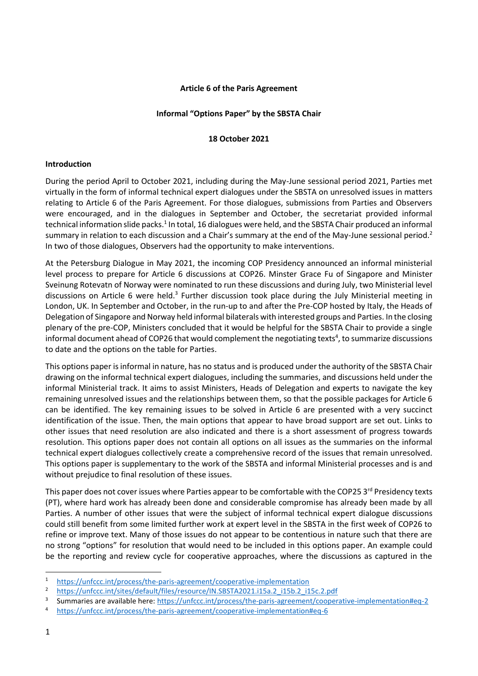## **Article 6 of the Paris Agreement**

## **Informal "Options Paper" by the SBSTA Chair**

## **18 October 2021**

## **Introduction**

During the period April to October 2021, including during the May-June sessional period 2021, Parties met virtually in the form of informal technical expert dialogues under the SBSTA on unresolved issues in matters relating to Article 6 of the Paris Agreement. For those dialogues, submissions from Parties and Observers were encouraged, and in the dialogues in September and October, the secretariat provided informal technical information slide packs.<sup>1</sup> In total, 16 dialogues were held, and the SBSTA Chair produced an informal summary in relation to each discussion and a Chair's summary at the end of the May-June sessional period.<sup>2</sup> In two of those dialogues, Observers had the opportunity to make interventions.

At the Petersburg Dialogue in May 2021, the incoming COP Presidency announced an informal ministerial level process to prepare for Article 6 discussions at COP26. Minster Grace Fu of Singapore and Minister Sveinung Rotevatn of Norway were nominated to run these discussions and during July, two Ministerial level discussions on Article 6 were held.<sup>3</sup> Further discussion took place during the July Ministerial meeting in London, UK. In September and October, in the run-up to and after the Pre-COP hosted by Italy, the Heads of Delegation of Singapore and Norway held informal bilaterals with interested groups and Parties. In the closing plenary of the pre-COP, Ministers concluded that it would be helpful for the SBSTA Chair to provide a single informal document ahead of COP26 that would complement the negotiating texts<sup>4</sup>, to summarize discussions to date and the options on the table for Parties.

This options paper isinformal in nature, has no status and is produced under the authority of the SBSTA Chair drawing on the informal technical expert dialogues, including the summaries, and discussions held under the informal Ministerial track. It aims to assist Ministers, Heads of Delegation and experts to navigate the key remaining unresolved issues and the relationships between them, so that the possible packages for Article 6 can be identified. The key remaining issues to be solved in Article 6 are presented with a very succinct identification of the issue. Then, the main options that appear to have broad support are set out. Links to other issues that need resolution are also indicated and there is a short assessment of progress towards resolution. This options paper does not contain all options on all issues as the summaries on the informal technical expert dialogues collectively create a comprehensive record of the issues that remain unresolved. This options paper is supplementary to the work of the SBSTA and informal Ministerial processes and is and without prejudice to final resolution of these issues.

This paper does not cover issues where Parties appear to be comfortable with the COP25 3rd Presidency texts (PT), where hard work has already been done and considerable compromise has already been made by all Parties. A number of other issues that were the subject of informal technical expert dialogue discussions could still benefit from some limited further work at expert level in the SBSTA in the first week of COP26 to refine or improve text. Many of those issues do not appear to be contentious in nature such that there are no strong "options" for resolution that would need to be included in this options paper. An example could be the reporting and review cycle for cooperative approaches, where the discussions as captured in the

 $\overline{a}$ 

<sup>1</sup> <https://unfccc.int/process/the-paris-agreement/cooperative-implementation>

<sup>&</sup>lt;sup>2</sup> [https://unfccc.int/sites/default/files/resource/IN.SBSTA2021.i15a.2\\_i15b.2\\_i15c.2.pdf](https://unfccc.int/sites/default/files/resource/IN.SBSTA2021.i15a.2_i15b.2_i15c.2.pdf)

<sup>3</sup> Summaries are available here:<https://unfccc.int/process/the-paris-agreement/cooperative-implementation#eq-2>

<sup>4</sup> <https://unfccc.int/process/the-paris-agreement/cooperative-implementation#eq-6>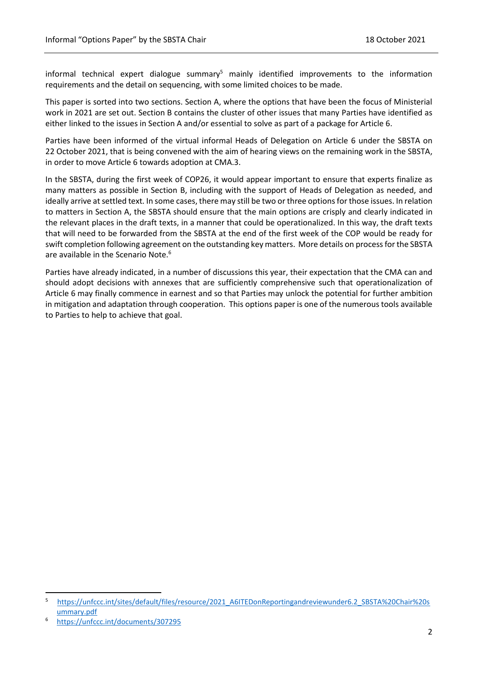informal technical expert dialogue summary<sup>5</sup> mainly identified improvements to the information requirements and the detail on sequencing, with some limited choices to be made.

This paper is sorted into two sections. Section A, where the options that have been the focus of Ministerial work in 2021 are set out. Section B contains the cluster of other issues that many Parties have identified as either linked to the issues in Section A and/or essential to solve as part of a package for Article 6.

Parties have been informed of the virtual informal Heads of Delegation on Article 6 under the SBSTA on 22 October 2021, that is being convened with the aim of hearing views on the remaining work in the SBSTA, in order to move Article 6 towards adoption at CMA.3.

In the SBSTA, during the first week of COP26, it would appear important to ensure that experts finalize as many matters as possible in Section B, including with the support of Heads of Delegation as needed, and ideally arrive at settled text. In some cases, there may still be two or three options for those issues. In relation to matters in Section A, the SBSTA should ensure that the main options are crisply and clearly indicated in the relevant places in the draft texts, in a manner that could be operationalized. In this way, the draft texts that will need to be forwarded from the SBSTA at the end of the first week of the COP would be ready for swift completion following agreement on the outstanding key matters. More details on process for the SBSTA are available in the Scenario Note.<sup>6</sup>

Parties have already indicated, in a number of discussions this year, their expectation that the CMA can and should adopt decisions with annexes that are sufficiently comprehensive such that operationalization of Article 6 may finally commence in earnest and so that Parties may unlock the potential for further ambition in mitigation and adaptation through cooperation. This options paper is one of the numerous tools available to Parties to help to achieve that goal.

**.** 

<sup>5</sup> [https://unfccc.int/sites/default/files/resource/2021\\_A6ITEDonReportingandreviewunder6.2\\_SBSTA%20Chair%20s](https://unfccc.int/sites/default/files/resource/2021_A6ITEDonReportingandreviewunder6.2_SBSTA%20Chair%20summary.pdf) [ummary.pdf](https://unfccc.int/sites/default/files/resource/2021_A6ITEDonReportingandreviewunder6.2_SBSTA%20Chair%20summary.pdf)

<sup>6</sup> <https://unfccc.int/documents/307295>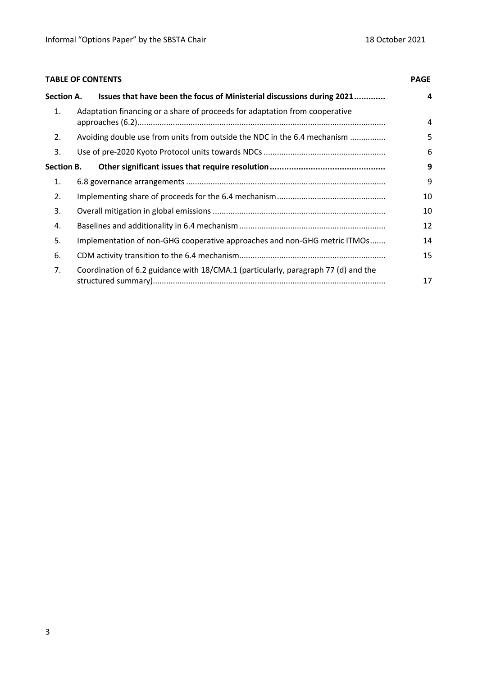| <b>TABLE OF CONTENTS</b> |                                                                                    | <b>PAGE</b>    |
|--------------------------|------------------------------------------------------------------------------------|----------------|
| Section A.               | Issues that have been the focus of Ministerial discussions during 2021             | 4              |
| 1.                       | Adaptation financing or a share of proceeds for adaptation from cooperative        | $\overline{4}$ |
| 2.                       | Avoiding double use from units from outside the NDC in the 6.4 mechanism           | 5              |
| 3.                       |                                                                                    | 6              |
|                          | <b>Section B.</b>                                                                  |                |
| 1.                       |                                                                                    | 9              |
| 2.                       |                                                                                    | 10             |
| 3.                       |                                                                                    | 10             |
| 4.                       |                                                                                    | 12             |
| 5.                       | Implementation of non-GHG cooperative approaches and non-GHG metric ITMOs          | 14             |
| 6.                       |                                                                                    | 15             |
| 7.                       | Coordination of 6.2 guidance with 18/CMA.1 (particularly, paragraph 77 (d) and the | 17             |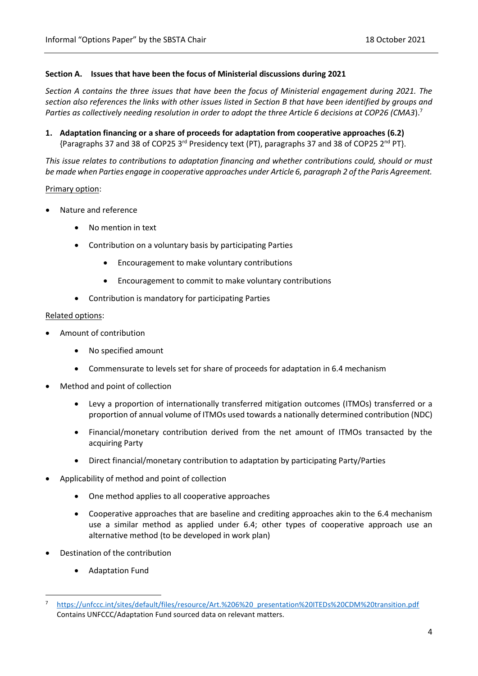## <span id="page-3-0"></span>**Section A. Issues that have been the focus of Ministerial discussions during 2021**

*Section A contains the three issues that have been the focus of Ministerial engagement during 2021. The section also references the links with other issues listed in Section B that have been identified by groups and Parties as collectively needing resolution in order to adopt the three Article 6 decisions at COP26 (CMA3*).<sup>7</sup>

<span id="page-3-1"></span>**1. Adaptation financing or a share of proceeds for adaptation from cooperative approaches (6.2)** {Paragraphs 37 and 38 of COP25 3rd Presidency text (PT), paragraphs 37 and 38 of COP25 2nd PT}.

*This issue relates to contributions to adaptation financing and whether contributions could, should or must be made when Parties engage in cooperative approaches under Article 6, paragraph 2 of the Paris Agreement.* 

## Primary option:

- Nature and reference
	- No mention in text
	- Contribution on a voluntary basis by participating Parties
		- Encouragement to make voluntary contributions
		- Encouragement to commit to make voluntary contributions
	- Contribution is mandatory for participating Parties

#### Related options:

- Amount of contribution
	- No specified amount
	- Commensurate to levels set for share of proceeds for adaptation in 6.4 mechanism
- Method and point of collection
	- Levy a proportion of internationally transferred mitigation outcomes (ITMOs) transferred or a proportion of annual volume of ITMOs used towards a nationally determined contribution (NDC)
	- Financial/monetary contribution derived from the net amount of ITMOs transacted by the acquiring Party
	- Direct financial/monetary contribution to adaptation by participating Party/Parties
- Applicability of method and point of collection
	- One method applies to all cooperative approaches
	- Cooperative approaches that are baseline and crediting approaches akin to the 6.4 mechanism use a similar method as applied under 6.4; other types of cooperative approach use an alternative method (to be developed in work plan)
- Destination of the contribution
	- Adaptation Fund

**.** 

<sup>7</sup> [https://unfccc.int/sites/default/files/resource/Art.%206%20\\_presentation%20ITEDs%20CDM%20transition.pdf](https://unfccc.int/sites/default/files/resource/Art.%206%20_presentation%20ITEDs%20CDM%20transition.pdf) Contains UNFCCC/Adaptation Fund sourced data on relevant matters.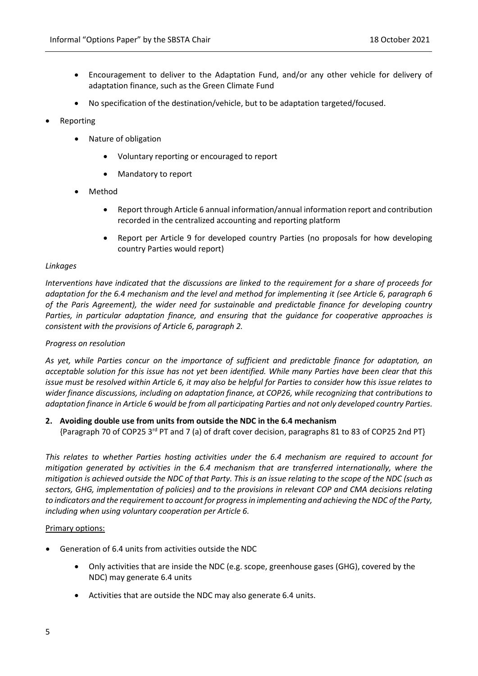- Encouragement to deliver to the Adaptation Fund, and/or any other vehicle for delivery of adaptation finance, such as the Green Climate Fund
- No specification of the destination/vehicle, but to be adaptation targeted/focused.
- **Reporting** 
	- Nature of obligation
		- Voluntary reporting or encouraged to report
		- Mandatory to report
	- Method
		- Report through Article 6 annual information/annual information report and contribution recorded in the centralized accounting and reporting platform
		- Report per Article 9 for developed country Parties (no proposals for how developing country Parties would report)

## *Linkages*

*Interventions have indicated that the discussions are linked to the requirement for a share of proceeds for adaptation for the 6.4 mechanism and the level and method for implementing it (see Article 6, paragraph 6 of the Paris Agreement), the wider need for sustainable and predictable finance for developing country Parties, in particular adaptation finance, and ensuring that the guidance for cooperative approaches is consistent with the provisions of Article 6, paragraph 2.*

## *Progress on resolution*

*As yet, while Parties concur on the importance of sufficient and predictable finance for adaptation, an acceptable solution for this issue has not yet been identified. While many Parties have been clear that this issue must be resolved within Article 6, it may also be helpful for Parties to consider how this issue relates to wider finance discussions, including on adaptation finance, at COP26, while recognizing that contributions to adaptation finance in Article 6 would be from all participating Parties and not only developed country Parties.*

## <span id="page-4-0"></span>**2. Avoiding double use from units from outside the NDC in the 6.4 mechanism**

{Paragraph 70 of COP25 3<sup>rd</sup> PT and 7 (a) of draft cover decision, paragraphs 81 to 83 of COP25 2nd PT}

*This relates to whether Parties hosting activities under the 6.4 mechanism are required to account for mitigation generated by activities in the 6.4 mechanism that are transferred internationally, where the mitigation is achieved outside the NDC of that Party. This is an issue relating to the scope of the NDC (such as sectors, GHG, implementation of policies) and to the provisions in relevant COP and CMA decisions relating to indicators and the requirement to account for progress in implementing and achieving the NDC of the Party, including when using voluntary cooperation per Article 6.* 

#### Primary options:

- Generation of 6.4 units from activities outside the NDC
	- Only activities that are inside the NDC (e.g. scope, greenhouse gases (GHG), covered by the NDC) may generate 6.4 units
	- Activities that are outside the NDC may also generate 6.4 units.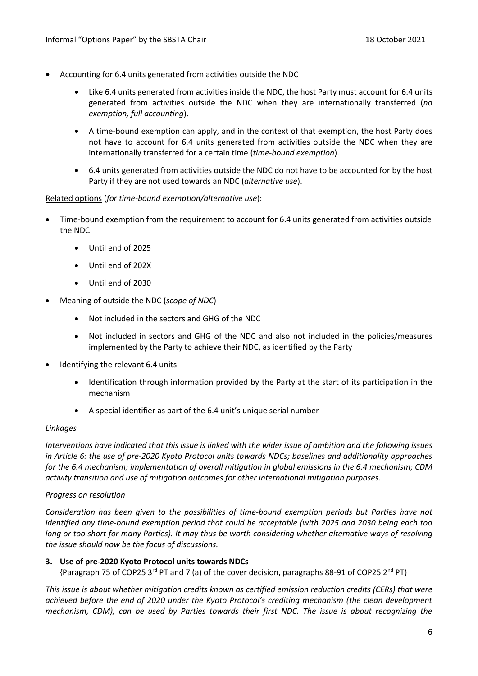- Accounting for 6.4 units generated from activities outside the NDC
	- Like 6.4 units generated from activities inside the NDC, the host Party must account for 6.4 units generated from activities outside the NDC when they are internationally transferred (*no exemption, full accounting*).
	- A time-bound exemption can apply, and in the context of that exemption, the host Party does not have to account for 6.4 units generated from activities outside the NDC when they are internationally transferred for a certain time (*time-bound exemption*).
	- 6.4 units generated from activities outside the NDC do not have to be accounted for by the host Party if they are not used towards an NDC (*alternative use*).

## Related options (*for time-bound exemption/alternative use*):

- Time-bound exemption from the requirement to account for 6.4 units generated from activities outside the NDC
	- Until end of 2025
	- Until end of 202X
	- Until end of 2030
- Meaning of outside the NDC (*scope of NDC*)
	- Not included in the sectors and GHG of the NDC
	- Not included in sectors and GHG of the NDC and also not included in the policies/measures implemented by the Party to achieve their NDC, as identified by the Party
- Identifying the relevant 6.4 units
	- Identification through information provided by the Party at the start of its participation in the mechanism
	- A special identifier as part of the 6.4 unit's unique serial number

## *Linkages*

*Interventions have indicated that this issue is linked with the wider issue of ambition and the following issues in Article 6: the use of pre-2020 Kyoto Protocol units towards NDCs; baselines and additionality approaches for the 6.4 mechanism; implementation of overall mitigation in global emissions in the 6.4 mechanism; CDM activity transition and use of mitigation outcomes for other international mitigation purposes.* 

## *Progress on resolution*

*Consideration has been given to the possibilities of time-bound exemption periods but Parties have not identified any time-bound exemption period that could be acceptable (with 2025 and 2030 being each too long or too short for many Parties). It may thus be worth considering whether alternative ways of resolving the issue should now be the focus of discussions.* 

## <span id="page-5-0"></span>**3. Use of pre-2020 Kyoto Protocol units towards NDCs**

{Paragraph 75 of COP25 3<sup>rd</sup> PT and 7 (a) of the cover decision, paragraphs 88-91 of COP25 2<sup>nd</sup> PT)

*This issue is about whether mitigation credits known as certified emission reduction credits (CERs) that were achieved before the end of 2020 under the Kyoto Protocol's crediting mechanism (the clean development mechanism, CDM), can be used by Parties towards their first NDC. The issue is about recognizing the*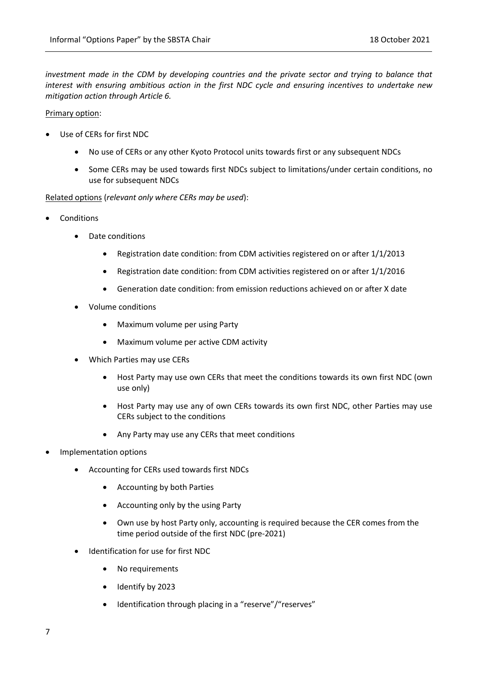*investment made in the CDM by developing countries and the private sector and trying to balance that interest with ensuring ambitious action in the first NDC cycle and ensuring incentives to undertake new mitigation action through Article 6.*

Primary option:

- Use of CERs for first NDC
	- No use of CERs or any other Kyoto Protocol units towards first or any subsequent NDCs
	- Some CERs may be used towards first NDCs subject to limitations/under certain conditions, no use for subsequent NDCs

Related options (*relevant only where CERs may be used*):

- **Conditions** 
	- Date conditions
		- Registration date condition: from CDM activities registered on or after 1/1/2013
		- Registration date condition: from CDM activities registered on or after 1/1/2016
		- Generation date condition: from emission reductions achieved on or after X date
	- Volume conditions
		- Maximum volume per using Party
		- Maximum volume per active CDM activity
	- Which Parties may use CERs
		- Host Party may use own CERs that meet the conditions towards its own first NDC (own use only)
		- Host Party may use any of own CERs towards its own first NDC, other Parties may use CERs subject to the conditions
		- Any Party may use any CERs that meet conditions
- Implementation options
	- Accounting for CERs used towards first NDCs
		- Accounting by both Parties
		- Accounting only by the using Party
		- Own use by host Party only, accounting is required because the CER comes from the time period outside of the first NDC (pre-2021)
	- Identification for use for first NDC
		- No requirements
		- Identify by 2023
		- Identification through placing in a "reserve"/"reserves"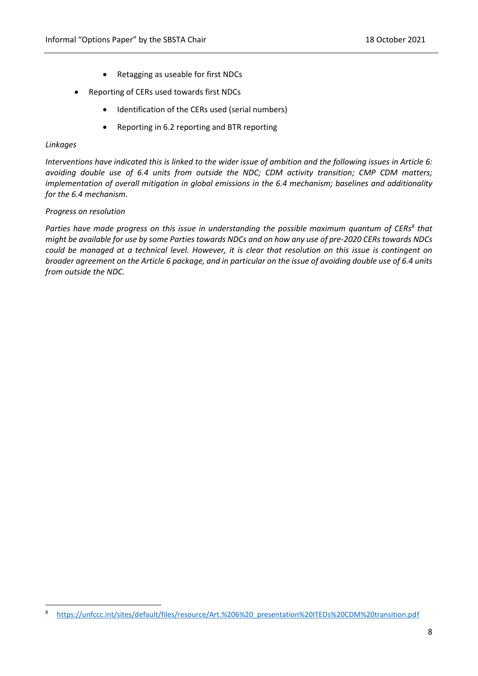- Retagging as useable for first NDCs
- Reporting of CERs used towards first NDCs
	- Identification of the CERs used (serial numbers)
	- Reporting in 6.2 reporting and BTR reporting

#### *Linkages*

**.** 

*Interventions have indicated this is linked to the wider issue of ambition and the following issues in Article 6: avoiding double use of 6.4 units from outside the NDC; CDM activity transition; CMP CDM matters; implementation of overall mitigation in global emissions in the 6.4 mechanism; baselines and additionality for the 6.4 mechanism.* 

#### *Progress on resolution*

*Parties have made progress on this issue in understanding the possible maximum quantum of CERs<sup>8</sup> that might be available for use by some Parties towards NDCs and on how any use of pre-2020 CERs towards NDCs could be managed at a technical level. However, it is clear that resolution on this issue is contingent on broader agreement on the Article 6 package, and in particular on the issue of avoiding double use of 6.4 units from outside the NDC.* 

<sup>8</sup> [https://unfccc.int/sites/default/files/resource/Art.%206%20\\_presentation%20ITEDs%20CDM%20transition.pdf](https://unfccc.int/sites/default/files/resource/Art.%206%20_presentation%20ITEDs%20CDM%20transition.pdf)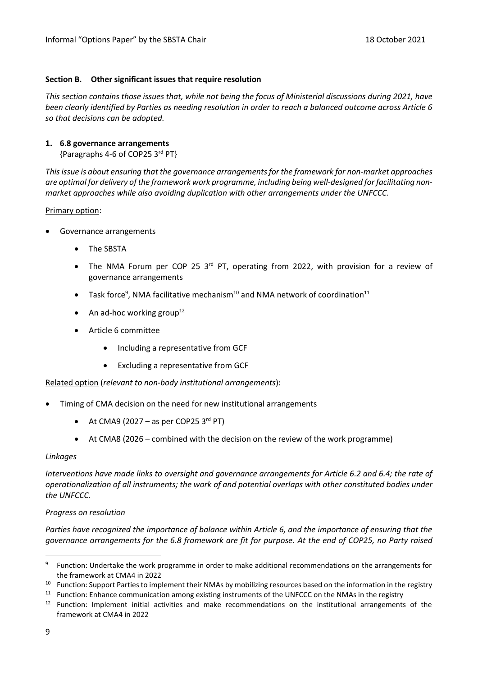## <span id="page-8-0"></span>**Section B. Other significant issues that require resolution**

*This section contains those issues that, while not being the focus of Ministerial discussions during 2021, have been clearly identified by Parties as needing resolution in order to reach a balanced outcome across Article 6 so that decisions can be adopted.*

#### <span id="page-8-1"></span>**1. 6.8 governance arrangements**

{Paragraphs 4-6 of COP25 3rd PT}

*This issue is about ensuring that the governance arrangements for the framework for non-market approaches are optimal for delivery of the framework work programme, including being well-designed for facilitating nonmarket approaches while also avoiding duplication with other arrangements under the UNFCCC.*

#### Primary option:

- Governance arrangements
	- The SBSTA
	- The NMA Forum per COP 25 3rd PT, operating from 2022, with provision for a review of governance arrangements
	- Task force<sup>9</sup>, NMA facilitative mechanism<sup>10</sup> and NMA network of coordination<sup>11</sup>
	- An ad-hoc working group<sup>12</sup>
	- Article 6 committee
		- Including a representative from GCF
		- Excluding a representative from GCF

Related option (*relevant to non-body institutional arrangements*):

- Timing of CMA decision on the need for new institutional arrangements
	- At CMA9 (2027 as per COP25  $3^{\text{rd}}$  PT)
	- At CMA8 (2026 combined with the decision on the review of the work programme)

#### *Linkages*

*Interventions have made links to oversight and governance arrangements for Article 6.2 and 6.4; the rate of operationalization of all instruments; the work of and potential overlaps with other constituted bodies under the UNFCCC.* 

#### *Progress on resolution*

*Parties have recognized the importance of balance within Article 6, and the importance of ensuring that the governance arrangements for the 6.8 framework are fit for purpose. At the end of COP25, no Party raised* 

1

<sup>9</sup> Function: Undertake the work programme in order to make additional recommendations on the arrangements for the framework at CMA4 in 2022

<sup>&</sup>lt;sup>10</sup> Function: Support Parties to implement their NMAs by mobilizing resources based on the information in the registry

<sup>&</sup>lt;sup>11</sup> Function: Enhance communication among existing instruments of the UNFCCC on the NMAs in the registry

<sup>&</sup>lt;sup>12</sup> Function: Implement initial activities and make recommendations on the institutional arrangements of the framework at CMA4 in 2022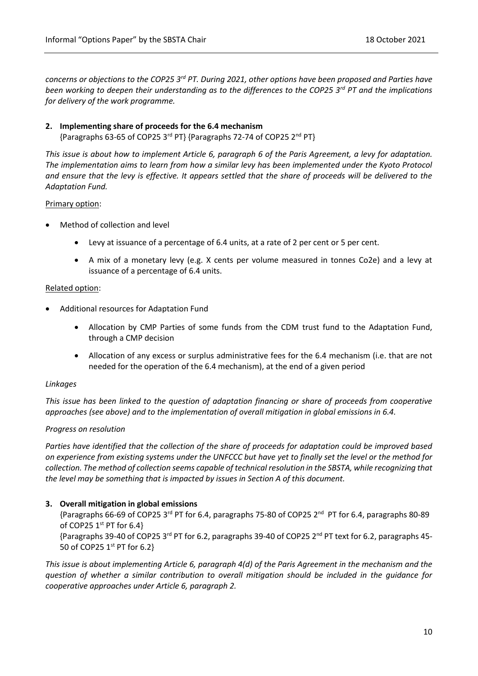*concerns or objections to the COP25 3rd PT. During 2021, other options have been proposed and Parties have been working to deepen their understanding as to the differences to the COP25 3rd PT and the implications for delivery of the work programme.*

# <span id="page-9-0"></span>**2. Implementing share of proceeds for the 6.4 mechanism**

{Paragraphs 63-65 of COP25 3rd PT} {Paragraphs 72-74 of COP25 2nd PT}

*This issue is about how to implement Article 6, paragraph 6 of the Paris Agreement, a levy for adaptation. The implementation aims to learn from how a similar levy has been implemented under the Kyoto Protocol and ensure that the levy is effective. It appears settled that the share of proceeds will be delivered to the Adaptation Fund.*

## Primary option:

- Method of collection and level
	- Levy at issuance of a percentage of 6.4 units, at a rate of 2 per cent or 5 per cent.
	- A mix of a monetary levy (e.g. X cents per volume measured in tonnes Co2e) and a levy at issuance of a percentage of 6.4 units.

## Related option:

- Additional resources for Adaptation Fund
	- Allocation by CMP Parties of some funds from the CDM trust fund to the Adaptation Fund, through a CMP decision
	- Allocation of any excess or surplus administrative fees for the 6.4 mechanism (i.e. that are not needed for the operation of the 6.4 mechanism), at the end of a given period

## *Linkages*

*This issue has been linked to the question of adaptation financing or share of proceeds from cooperative approaches (see above) and to the implementation of overall mitigation in global emissions in 6.4.*

# *Progress on resolution*

*Parties have identified that the collection of the share of proceeds for adaptation could be improved based on experience from existing systems under the UNFCCC but have yet to finally set the level or the method for collection. The method of collection seems capable of technical resolution in the SBSTA, while recognizing that the level may be something that is impacted by issues in Section A of this document.* 

# <span id="page-9-1"></span>**3. Overall mitigation in global emissions**

{Paragraphs 66-69 of COP25 3 rd PT for 6.4, paragraphs 75-80 of COP25 2nd PT for 6.4, paragraphs 80-89 of COP25  $1<sup>st</sup>$  PT for 6.4}

{Paragraphs 39-40 of COP25 3 rd PT for 6.2, paragraphs 39-40 of COP25 2 nd PT text for 6.2, paragraphs 45- 50 of COP25 1<sup>st</sup> PT for 6.2}

*This issue is about implementing Article 6, paragraph 4(d) of the Paris Agreement in the mechanism and the question of whether a similar contribution to overall mitigation should be included in the guidance for cooperative approaches under Article 6, paragraph 2.*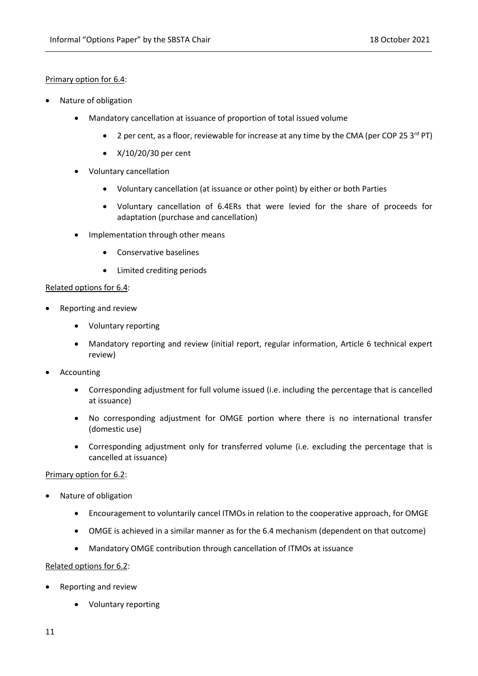## Primary option for 6.4:

- Nature of obligation
	- Mandatory cancellation at issuance of proportion of total issued volume
		- 2 per cent, as a floor, reviewable for increase at any time by the CMA (per COP 25  $3^{\text{rd}}$  PT)
		- X/10/20/30 per cent
	- Voluntary cancellation
		- Voluntary cancellation (at issuance or other point) by either or both Parties
		- Voluntary cancellation of 6.4ERs that were levied for the share of proceeds for adaptation (purchase and cancellation)
	- Implementation through other means
		- Conservative baselines
		- Limited crediting periods

## Related options for 6.4:

- Reporting and review
	- Voluntary reporting
	- Mandatory reporting and review (initial report, regular information, Article 6 technical expert review)
- **Accounting** 
	- Corresponding adjustment for full volume issued (i.e. including the percentage that is cancelled at issuance)
	- No corresponding adjustment for OMGE portion where there is no international transfer (domestic use)
	- Corresponding adjustment only for transferred volume (i.e. excluding the percentage that is cancelled at issuance)

## Primary option for 6.2:

- Nature of obligation
	- Encouragement to voluntarily cancel ITMOs in relation to the cooperative approach, for OMGE
	- OMGE is achieved in a similar manner as for the 6.4 mechanism (dependent on that outcome)
	- Mandatory OMGE contribution through cancellation of ITMOs at issuance

## Related options for 6.2:

- Reporting and review
	- Voluntary reporting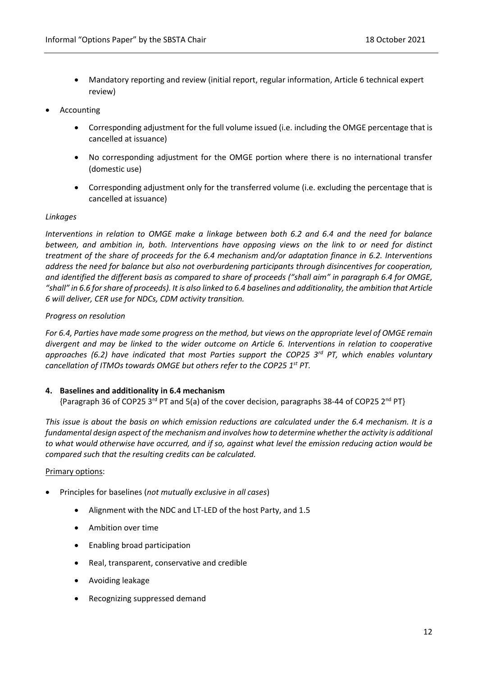- Mandatory reporting and review (initial report, regular information, Article 6 technical expert review)
- **Accounting** 
	- Corresponding adjustment for the full volume issued (i.e. including the OMGE percentage that is cancelled at issuance)
	- No corresponding adjustment for the OMGE portion where there is no international transfer (domestic use)
	- Corresponding adjustment only for the transferred volume (i.e. excluding the percentage that is cancelled at issuance)

## *Linkages*

*Interventions in relation to OMGE make a linkage between both 6.2 and 6.4 and the need for balance between, and ambition in, both. Interventions have opposing views on the link to or need for distinct treatment of the share of proceeds for the 6.4 mechanism and/or adaptation finance in 6.2. Interventions address the need for balance but also not overburdening participants through disincentives for cooperation, and identified the different basis as compared to share of proceeds ("shall aim" in paragraph 6.4 for OMGE, "shall" in 6.6 for share of proceeds). It is also linked to 6.4 baselines and additionality, the ambition that Article 6 will deliver, CER use for NDCs, CDM activity transition.*

## *Progress on resolution*

*For 6.4, Parties have made some progress on the method, but views on the appropriate level of OMGE remain divergent and may be linked to the wider outcome on Article 6. Interventions in relation to cooperative approaches (6.2) have indicated that most Parties support the COP25 3rd PT, which enables voluntary cancellation of ITMOs towards OMGE but others refer to the COP25 1st PT.*

## <span id="page-11-0"></span>**4. Baselines and additionality in 6.4 mechanism**

{Paragraph 36 of COP25 3rd PT and 5(a) of the cover decision, paragraphs 38-44 of COP25 2nd PT}

*This issue is about the basis on which emission reductions are calculated under the 6.4 mechanism. It is a fundamental design aspect of the mechanism and involves how to determine whether the activity is additional to what would otherwise have occurred, and if so, against what level the emission reducing action would be compared such that the resulting credits can be calculated.* 

## Primary options:

- Principles for baselines (*not mutually exclusive in all cases*)
	- Alignment with the NDC and LT-LED of the host Party, and 1.5
	- Ambition over time
	- Enabling broad participation
	- Real, transparent, conservative and credible
	- Avoiding leakage
	- Recognizing suppressed demand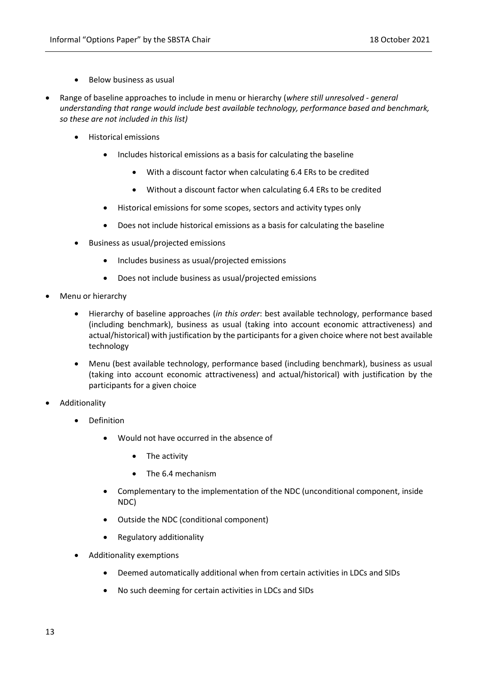- Below business as usual
- Range of baseline approaches to include in menu or hierarchy (*where still unresolved - general understanding that range would include best available technology, performance based and benchmark, so these are not included in this list)*
	- Historical emissions
		- Includes historical emissions as a basis for calculating the baseline
			- With a discount factor when calculating 6.4 ERs to be credited
			- Without a discount factor when calculating 6.4 ERs to be credited
		- Historical emissions for some scopes, sectors and activity types only
		- Does not include historical emissions as a basis for calculating the baseline
	- Business as usual/projected emissions
		- Includes business as usual/projected emissions
		- Does not include business as usual/projected emissions
- Menu or hierarchy
	- Hierarchy of baseline approaches (*in this order*: best available technology, performance based (including benchmark), business as usual (taking into account economic attractiveness) and actual/historical) with justification by the participants for a given choice where not best available technology
	- Menu (best available technology, performance based (including benchmark), business as usual (taking into account economic attractiveness) and actual/historical) with justification by the participants for a given choice
- Additionality
	- **Definition** 
		- Would not have occurred in the absence of
			- The activity
			- The 6.4 mechanism
		- Complementary to the implementation of the NDC (unconditional component, inside NDC)
		- Outside the NDC (conditional component)
		- Regulatory additionality
	- Additionality exemptions
		- Deemed automatically additional when from certain activities in LDCs and SIDs
		- No such deeming for certain activities in LDCs and SIDs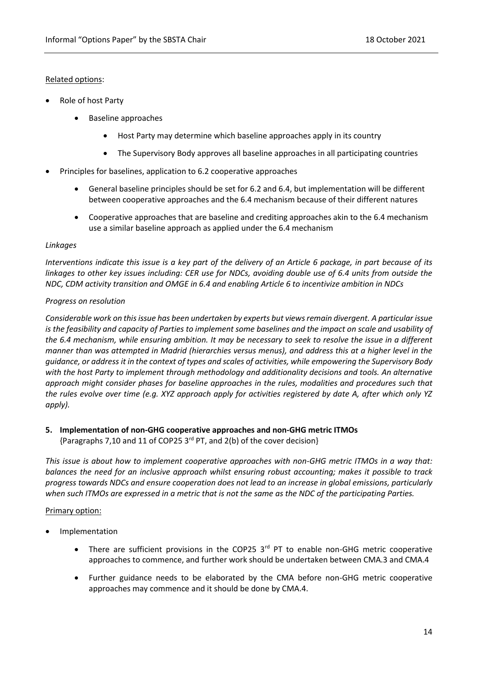# Related options:

- Role of host Party
	- Baseline approaches
		- Host Party may determine which baseline approaches apply in its country
		- The Supervisory Body approves all baseline approaches in all participating countries
- Principles for baselines, application to 6.2 cooperative approaches
	- General baseline principles should be set for 6.2 and 6.4, but implementation will be different between cooperative approaches and the 6.4 mechanism because of their different natures
	- Cooperative approaches that are baseline and crediting approaches akin to the 6.4 mechanism use a similar baseline approach as applied under the 6.4 mechanism

## *Linkages*

*Interventions indicate this issue is a key part of the delivery of an Article 6 package, in part because of its linkages to other key issues including: CER use for NDCs, avoiding double use of 6.4 units from outside the NDC, CDM activity transition and OMGE in 6.4 and enabling Article 6 to incentivize ambition in NDCs*

## *Progress on resolution*

*Considerable work on this issue has been undertaken by experts but views remain divergent. A particular issue is the feasibility and capacity of Parties to implement some baselines and the impact on scale and usability of the 6.4 mechanism, while ensuring ambition. It may be necessary to seek to resolve the issue in a different manner than was attempted in Madrid (hierarchies versus menus), and address this at a higher level in the guidance, or address it in the context of types and scales of activities, while empowering the Supervisory Body with the host Party to implement through methodology and additionality decisions and tools. An alternative approach might consider phases for baseline approaches in the rules, modalities and procedures such that the rules evolve over time (e.g. XYZ approach apply for activities registered by date A, after which only YZ apply).*

<span id="page-13-0"></span>**5. Implementation of non-GHG cooperative approaches and non-GHG metric ITMOs**  {Paragraphs 7,10 and 11 of COP25 3rd PT, and 2(b) of the cover decision}

*This issue is about how to implement cooperative approaches with non-GHG metric ITMOs in a way that: balances the need for an inclusive approach whilst ensuring robust accounting; makes it possible to track progress towards NDCs and ensure cooperation does not lead to an increase in global emissions, particularly when such ITMOs are expressed in a metric that is not the same as the NDC of the participating Parties.* 

## Primary option:

- **Implementation** 
	- There are sufficient provisions in the COP25 3<sup>rd</sup> PT to enable non-GHG metric cooperative approaches to commence, and further work should be undertaken between CMA.3 and CMA.4
	- Further guidance needs to be elaborated by the CMA before non-GHG metric cooperative approaches may commence and it should be done by CMA.4.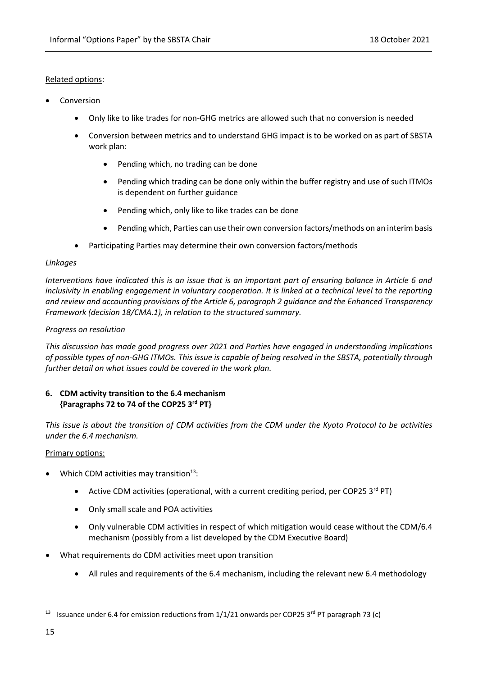# Related options:

- **Conversion** 
	- Only like to like trades for non-GHG metrics are allowed such that no conversion is needed
	- Conversion between metrics and to understand GHG impact is to be worked on as part of SBSTA work plan:
		- Pending which, no trading can be done
		- Pending which trading can be done only within the buffer registry and use of such ITMOs is dependent on further guidance
		- Pending which, only like to like trades can be done
		- Pending which, Parties can use their own conversion factors/methods on an interim basis
	- Participating Parties may determine their own conversion factors/methods

## *Linkages*

*Interventions have indicated this is an issue that is an important part of ensuring balance in Article 6 and inclusivity in enabling engagement in voluntary cooperation. It is linked at a technical level to the reporting and review and accounting provisions of the Article 6, paragraph 2 guidance and the Enhanced Transparency Framework (decision 18/CMA.1), in relation to the structured summary.* 

## *Progress on resolution*

*This discussion has made good progress over 2021 and Parties have engaged in understanding implications of possible types of non-GHG ITMOs. This issue is capable of being resolved in the SBSTA, potentially through further detail on what issues could be covered in the work plan.* 

## <span id="page-14-0"></span>**6. CDM activity transition to the 6.4 mechanism {Paragraphs 72 to 74 of the COP25 3rd PT}**

*This issue is about the transition of CDM activities from the CDM under the Kyoto Protocol to be activities under the 6.4 mechanism.*

## Primary options:

- Which CDM activities may transition $^{13}$ :
	- Active CDM activities (operational, with a current crediting period, per COP25  $3<sup>rd</sup> PT$ )
	- Only small scale and POA activities
	- Only vulnerable CDM activities in respect of which mitigation would cease without the CDM/6.4 mechanism (possibly from a list developed by the CDM Executive Board)
- What requirements do CDM activities meet upon transition
	- All rules and requirements of the 6.4 mechanism, including the relevant new 6.4 methodology

**.** 

<sup>&</sup>lt;sup>13</sup> Issuance under 6.4 for emission reductions from 1/1/21 onwards per COP25 3<sup>rd</sup> PT paragraph 73 (c)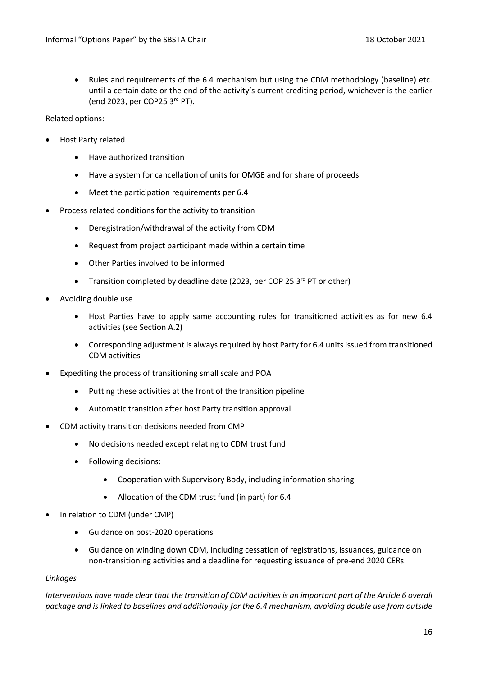• Rules and requirements of the 6.4 mechanism but using the CDM methodology (baseline) etc. until a certain date or the end of the activity's current crediting period, whichever is the earlier (end 2023, per COP25 3rd PT).

# Related options:

- Host Party related
	- Have authorized transition
	- Have a system for cancellation of units for OMGE and for share of proceeds
	- Meet the participation requirements per 6.4
- Process related conditions for the activity to transition
	- Deregistration/withdrawal of the activity from CDM
	- Request from project participant made within a certain time
	- Other Parties involved to be informed
	- Transition completed by deadline date (2023, per COP 25 3<sup>rd</sup> PT or other)
- Avoiding double use
	- Host Parties have to apply same accounting rules for transitioned activities as for new 6.4 activities (see Section A.2)
	- Corresponding adjustment is always required by host Party for 6.4 units issued from transitioned CDM activities
- Expediting the process of transitioning small scale and POA
	- Putting these activities at the front of the transition pipeline
	- Automatic transition after host Party transition approval
- CDM activity transition decisions needed from CMP
	- No decisions needed except relating to CDM trust fund
	- Following decisions:
		- Cooperation with Supervisory Body, including information sharing
		- Allocation of the CDM trust fund (in part) for 6.4
- In relation to CDM (under CMP)
	- Guidance on post-2020 operations
	- Guidance on winding down CDM, including cessation of registrations, issuances, guidance on non-transitioning activities and a deadline for requesting issuance of pre-end 2020 CERs.

## *Linkages*

*Interventions have made clear that the transition of CDM activities is an important part of the Article 6 overall package and is linked to baselines and additionality for the 6.4 mechanism, avoiding double use from outside*